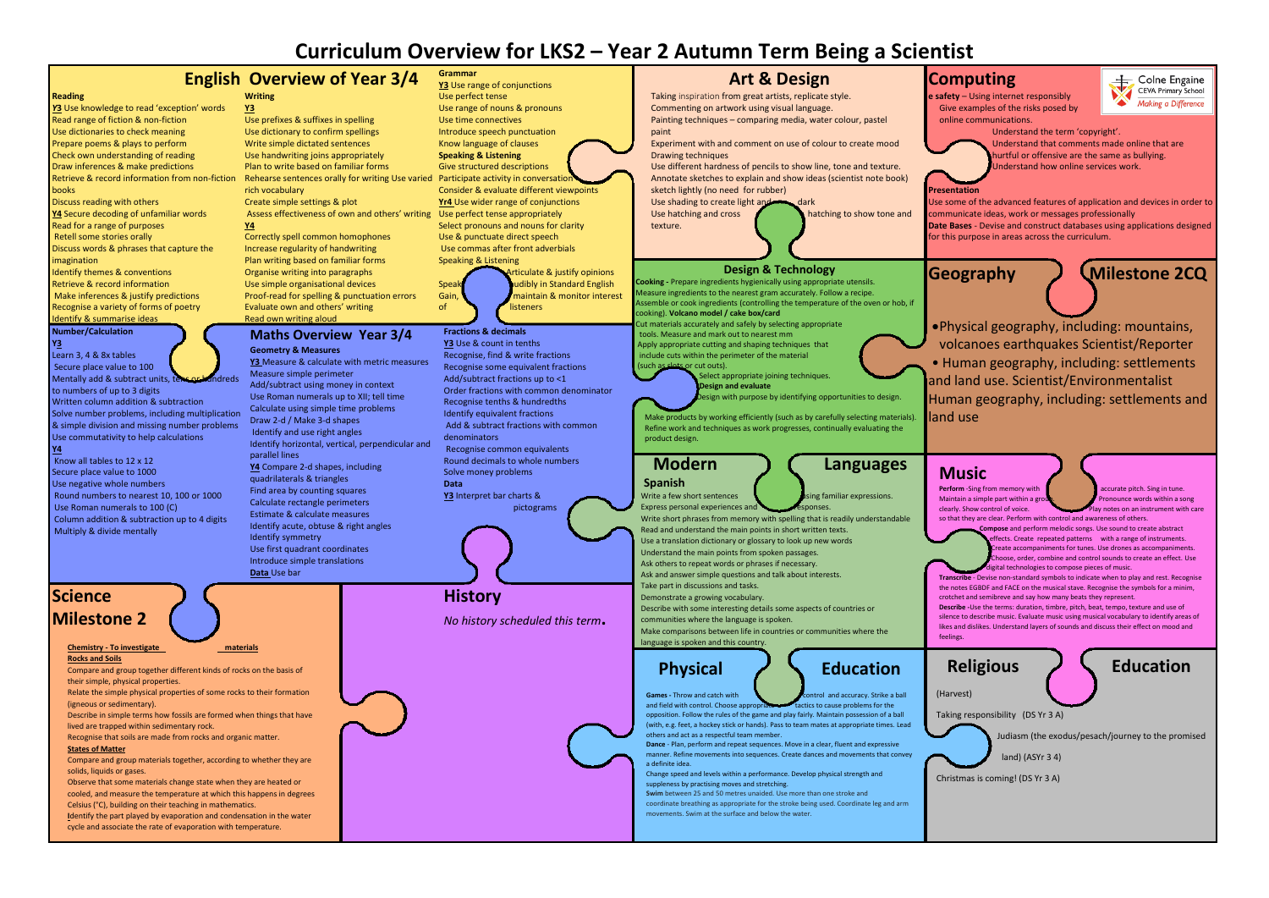# **Curriculum Overview for LKS2 – Year 2 Autumn Term Being a Scientist**

## **Computing**

**e safety** – Using internet responsibly Give examples of the risks posed by online communications.



### Colne Engaine CEVA Primary School Making a Difference

Understand the term 'copyright'.

- Understand that comments made online that are hurtful or offensive are the same as bullying.
- Understand how online services work.

Use some of the advanced features of application and devices in order to communicate ideas, work or messages professionally **Date Bases** - Devise and construct databases using applications designed

for this purpose in areas across the curriculum.





•Physical geography, including: mountains, volcanoes earthquakes Scientist/Reporter • Human geography, including: settlements and land use. Scientist/Environmentalist Human geography, including: settlements and

Religious **A** Education **Perform** -Sing from memory with **and accurate pitch.** Sing in tune.<br>Maintain a simple part within a group. **The proposition** pronounce words within a song Maintain a simple part within a gr clearly. Show control of voice. Play notes on an instrument with care so that they are clear. Perform with control and awareness of others. **Compose** and perform melodic songs. Use sound to create abstract fects. Create repeated patterns with a range of instruments. reate accompaniments for tunes. Use drones as accompaniments. Choose, order, combine and control sounds to create an effect. Use digital technologies to compose pieces of music **Transcribe** - Devise non-standard symbols to indicate when to play and rest. Recognise the notes EGBDF and FACE on the musical stave. Recognise the symbols for a minim, crotchet and semibreve and say how many beats they represent. **Describe -**Use the terms: duration, timbre, pitch, beat, tempo, texture and use of silence to describe music. Evaluate music using musical vocabulary to identify areas of likes and dislikes. Understand layers of sounds and discuss their effect on mood and

**Y4**

Taking responsibility (DS Yr 3 A)

Judiasm (the exodus/pesach/journey to the promised

land) (ASYr 3 4)

Christmas is coming! (DS Yr 3 A)

## **Music**